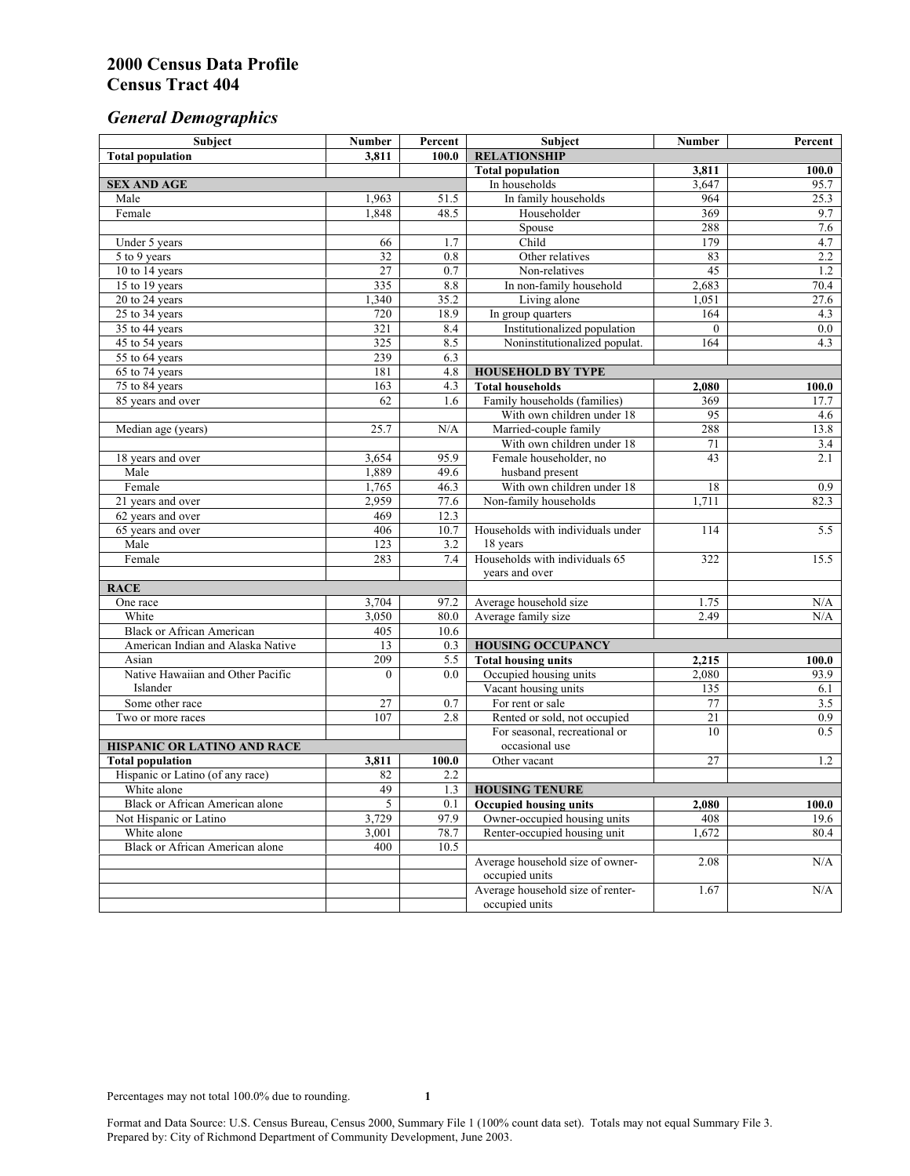# *General Demographics*

| Subject                           | <b>Number</b> | Percent          | Subject                                                 | <b>Number</b> | Percent            |
|-----------------------------------|---------------|------------------|---------------------------------------------------------|---------------|--------------------|
| <b>Total population</b>           | 3,811         | 100.0            | <b>RELATIONSHIP</b>                                     |               |                    |
|                                   |               |                  | <b>Total population</b>                                 | 3,811         | $\overline{100.0}$ |
| <b>SEX AND AGE</b>                |               |                  | In households                                           | 3,647         | 95.7               |
| Male                              | 1,963         | 51.5             | In family households                                    | 964           | 25.3               |
| Female                            | 1,848         | 48.5             | Householder                                             | 369           | 9.7                |
|                                   |               |                  | Spouse                                                  | 288           | 7.6                |
| Under 5 years                     | 66            | 1.7              | Child                                                   | 179           | 4.7                |
| 5 to 9 years                      | 32            | $\overline{0.8}$ | Other relatives                                         | 83            | 2.2                |
| 10 to 14 years                    | 27            | 0.7              | Non-relatives                                           | 45            | 1.2                |
| 15 to 19 years                    | 335           | 8.8              | In non-family household                                 | 2,683         | 70.4               |
| 20 to 24 years                    | 1,340         | 35.2             | Living alone                                            | 1,051         | 27.6               |
| 25 to 34 years                    | 720           | 18.9             | In group quarters                                       | 164           | 4.3                |
| 35 to 44 years                    | 321           | 8.4              | Institutionalized population                            | $\theta$      | 0.0                |
| 45 to 54 years                    | 325           | 8.5              | Noninstitutionalized populat.                           | 164           | 4.3                |
| 55 to 64 years                    | 239           | 6.3              |                                                         |               |                    |
| 65 to 74 years                    | 181           | 4.8              | <b>HOUSEHOLD BY TYPE</b>                                |               |                    |
| 75 to 84 years                    | 163<br>62     | 4.3              | <b>Total households</b><br>Family households (families) | 2,080<br>369  | 100.0<br>17.7      |
| 85 years and over                 |               | 1.6              | With own children under 18                              | 95            |                    |
|                                   | 25.7          | N/A              | Married-couple family                                   | 288           | 4.6<br>13.8        |
| Median age (years)                |               |                  | With own children under 18                              | 71            | 3.4                |
| 18 years and over                 | 3,654         | 95.9             | Female householder, no                                  | 43            | 2.1                |
| Male                              | 1,889         | 49.6             | husband present                                         |               |                    |
| Female                            | 1,765         | 46.3             | With own children under 18                              | 18            | 0.9                |
| 21 years and over                 | 2,959         | 77.6             | Non-family households                                   | 1,711         | 82.3               |
| 62 years and over                 | 469           | 12.3             |                                                         |               |                    |
| 65 years and over                 | 406           | 10.7             | Households with individuals under                       | 114           | 5.5                |
| Male                              | 123           | 3.2              | 18 years                                                |               |                    |
| Female                            | 283           | 7.4              | Households with individuals 65                          | 322           | 15.5               |
|                                   |               |                  | years and over                                          |               |                    |
| <b>RACE</b>                       |               |                  |                                                         |               |                    |
| One race                          | 3,704         | 97.2             | Average household size                                  | 1.75          | $\rm N/A$          |
| White                             | 3,050         | 80.0             | Average family size                                     | 2.49          | N/A                |
| <b>Black or African American</b>  | 405           | 10.6             |                                                         |               |                    |
| American Indian and Alaska Native | 13            | 0.3              | <b>HOUSING OCCUPANCY</b>                                |               |                    |
| Asian                             | 209           | 5.5              | <b>Total housing units</b>                              | 2,215         | 100.0              |
| Native Hawaiian and Other Pacific | $\theta$      | 0.0              | Occupied housing units                                  | 2,080         | 93.9               |
| Islander                          |               |                  | Vacant housing units                                    | 135           | 6.1                |
| Some other race                   | 27            | 0.7              | For rent or sale                                        | $77 \,$       | 3.5                |
| Two or more races                 | 107           | 2.8              | Rented or sold, not occupied                            | 21            | 0.9                |
|                                   |               |                  | For seasonal, recreational or                           | 10            | 0.5                |
| HISPANIC OR LATINO AND RACE       |               |                  | occasional use                                          |               |                    |
| <b>Total population</b>           | 3,811         | 100.0            | Other vacant                                            | 27            | 1.2                |
| Hispanic or Latino (of any race)  | 82            | 2.2              |                                                         |               |                    |
| White alone                       | 49            | 1.3              | <b>HOUSING TENURE</b>                                   |               |                    |
| Black or African American alone   | 5             | 0.1              | <b>Occupied housing units</b>                           | 2,080         | 100.0              |
| Not Hispanic or Latino            | 3,729         | 97.9             | Owner-occupied housing units                            | 408           | 19.6               |
| White alone                       | 3,001         | 78.7             | Renter-occupied housing unit                            | 1,672         | 80.4               |
| Black or African American alone   | 400           | 10.5             |                                                         |               |                    |
|                                   |               |                  | Average household size of owner-                        | 2.08          | N/A                |
|                                   |               |                  | occupied units                                          |               |                    |
|                                   |               |                  | Average household size of renter-                       | 1.67          | N/A                |
|                                   |               |                  | occupied units                                          |               |                    |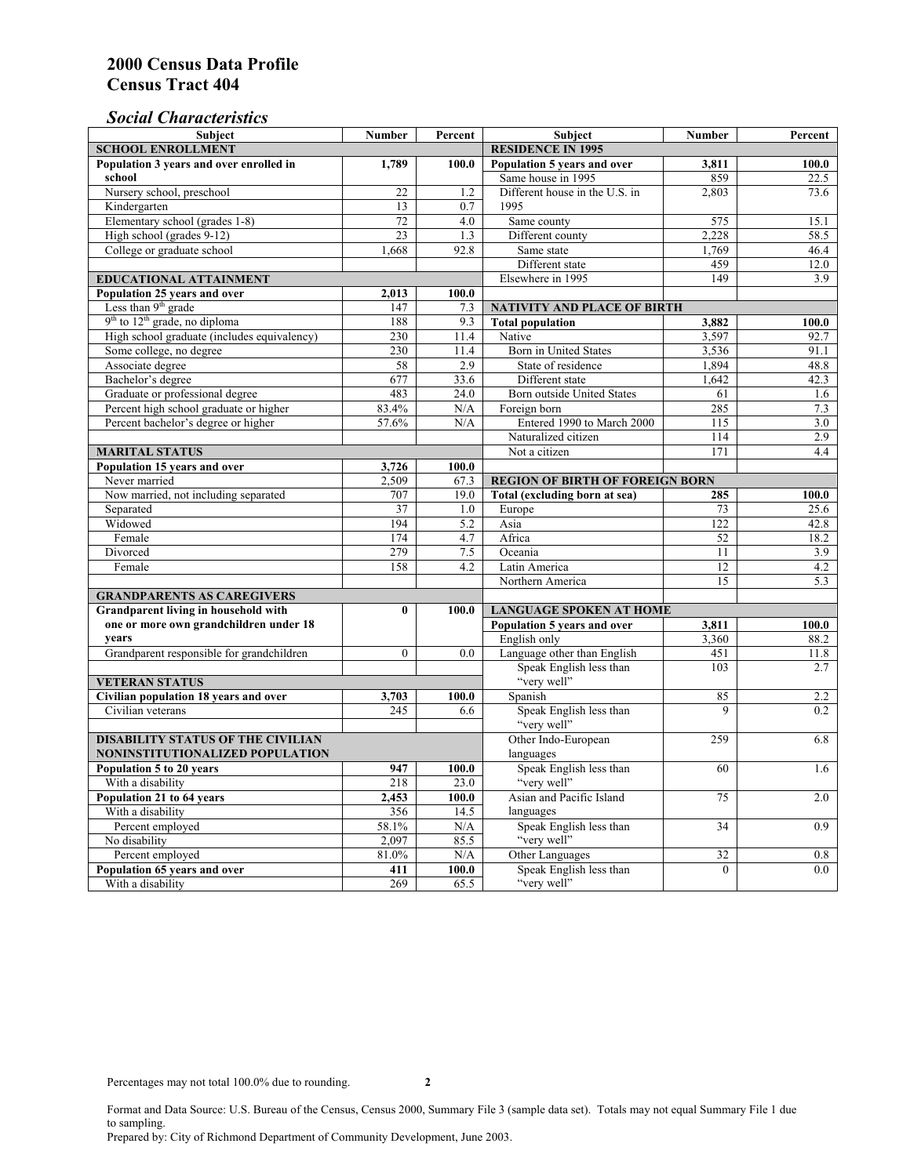## *Social Characteristics*

| <b>Subject</b>                                            | <b>Number</b>            | Percent     | <b>Subject</b>                         | <b>Number</b>      | Percent    |
|-----------------------------------------------------------|--------------------------|-------------|----------------------------------------|--------------------|------------|
| <b>SCHOOL ENROLLMENT</b>                                  | <b>RESIDENCE IN 1995</b> |             |                                        |                    |            |
| Population 3 years and over enrolled in                   | 1,789                    | 100.0       | Population 5 years and over            | 3,811              | 100.0      |
| school                                                    |                          |             | Same house in 1995                     | 859                | 22.5       |
| Nursery school, preschool                                 | 22                       | 1.2         | Different house in the U.S. in         | 2.803              | 73.6       |
| Kindergarten                                              | 13                       | 0.7         | 1995                                   |                    |            |
| Elementary school (grades 1-8)                            | 72                       | 4.0         | Same county                            | 575                | 15.1       |
| High school (grades 9-12)                                 | 23                       | 1.3         | Different county                       | 2,228              | 58.5       |
| College or graduate school                                | 1.668                    | 92.8        | Same state                             | 1,769              | 46.4       |
|                                                           |                          |             | Different state                        | 459                | 12.0       |
| EDUCATIONAL ATTAINMENT                                    | Elsewhere in 1995        | 149         | 3.9                                    |                    |            |
| Population 25 years and over                              | 2,013                    | 100.0       |                                        |                    |            |
| Less than 9 <sup>th</sup> grade                           | 147                      | 7.3         | NATIVITY AND PLACE OF BIRTH            |                    |            |
| $9th$ to $12th$ grade, no diploma                         | 188                      | 9.3         | <b>Total population</b>                | 3,882              | 100.0      |
| High school graduate (includes equivalency)               | 230                      | 11.4        | Native                                 | 3.597              | 92.7       |
| Some college, no degree                                   | 230                      | 11.4        | Born in United States                  | 3,536              | 91.1       |
| Associate degree                                          | 58                       | 2.9         | State of residence                     | 1,894              | 48.8       |
| Bachelor's degree                                         | 677                      | 33.6        | Different state                        | 1,642              | 42.3       |
| Graduate or professional degree                           | 483                      | 24.0        | Born outside United States             | 61                 | 1.6        |
| Percent high school graduate or higher                    | 83.4%                    | N/A         | Foreign born                           | 285                | 7.3        |
| Percent bachelor's degree or higher                       | 57.6%                    | N/A         | Entered 1990 to March 2000             | 115                | 3.0        |
|                                                           |                          |             | Naturalized citizen                    | 114                | 2.9        |
| <b>MARITAL STATUS</b>                                     | Not a citizen            | 171         | 4.4                                    |                    |            |
| Population 15 years and over                              | 3,726                    | 100.0       |                                        |                    |            |
| Never married                                             | 2,509                    | 67.3        | <b>REGION OF BIRTH OF FOREIGN BORN</b> |                    |            |
| Now married, not including separated                      | 707                      | 19.0        | Total (excluding born at sea)          | 285                | 100.0      |
| Separated                                                 | 37                       | 1.0         | Europe                                 | 73                 | 25.6       |
| Widowed                                                   | 194                      | 5.2         | Asia                                   | 122                | 42.8       |
| Female                                                    | 174                      | 4.7         | Africa                                 | 52                 | 18.2       |
| Divorced                                                  | 279                      | $7.5$       | Oceania                                | 11                 | 3.9        |
| Female                                                    | 158                      | 4.2         | Latin America                          | 12                 | 4.2        |
|                                                           |                          |             | Northern America                       | $\overline{15}$    | 5.3        |
| <b>GRANDPARENTS AS CAREGIVERS</b>                         |                          |             |                                        |                    |            |
| Grandparent living in household with<br>$\bf{0}$<br>100.0 |                          |             | <b>LANGUAGE SPOKEN AT HOME</b>         |                    |            |
| one or more own grandchildren under 18                    |                          |             | Population 5 years and over            | 3,811              | 100.0      |
| years                                                     |                          |             | English only                           | 3,360              | 88.2       |
| Grandparent responsible for grandchildren                 | $\overline{0}$           | 0.0         | Language other than English            | 451                | 11.8       |
|                                                           |                          |             | Speak English less than                | 103                | 2.7        |
| <b>VETERAN STATUS</b>                                     |                          |             | "very well"                            |                    |            |
| Civilian population 18 years and over                     | 3,703                    | 100.0       | Spanish                                | 85                 | 2.2        |
| Civilian veterans                                         | 245                      | 6.6         | Speak English less than<br>"very well" | 9                  | 0.2        |
|                                                           |                          |             |                                        |                    |            |
| <b>DISABILITY STATUS OF THE CIVILIAN</b>                  | Other Indo-European      | 259         | 6.8                                    |                    |            |
| NONINSTITUTIONALIZED POPULATION                           | languages                |             |                                        |                    |            |
| Population 5 to 20 years                                  | 947                      | 100.0       | Speak English less than                | 60                 | 1.6        |
| With a disability                                         | 218                      | 23.0        | "very well"                            |                    |            |
| Population 21 to 64 years                                 | 2,453                    | 100.0       | Asian and Pacific Island               | 75                 | 2.0        |
| With a disability                                         | 356                      | 14.5        | languages                              |                    |            |
| Percent employed                                          | 58.1%                    | N/A         | Speak English less than<br>"very well" | 34                 | 0.9        |
| No disability                                             | 2,097<br>81.0%           | 85.5<br>N/A | Other Languages                        |                    |            |
| Percent employed<br>Population 65 years and over          | 411                      | 100.0       | Speak English less than                | 32<br>$\mathbf{0}$ | 0.8<br>0.0 |
| With a disability                                         | 269                      | 65.5        | "very well"                            |                    |            |
|                                                           |                          |             |                                        |                    |            |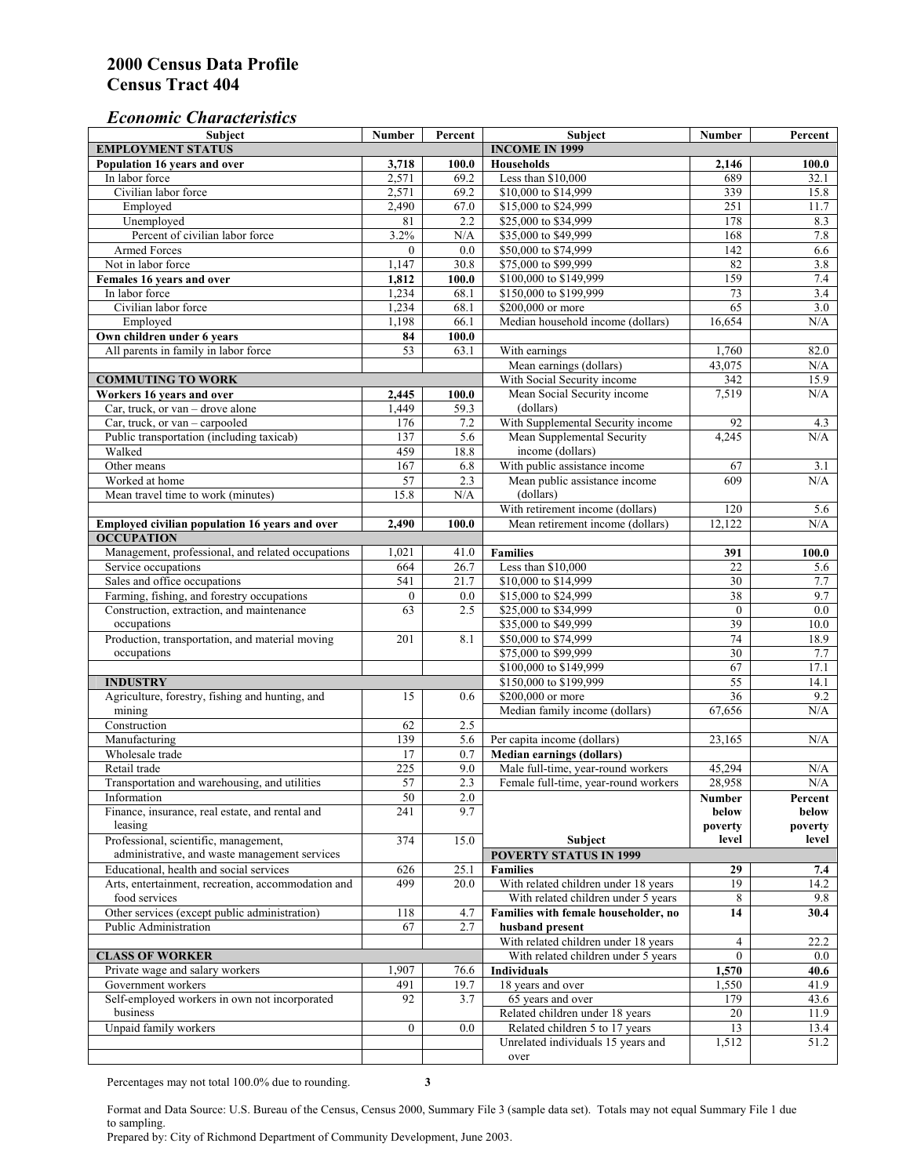#### *Economic Characteristics*

| Subject                                            | <b>Number</b>    | Percent                 | Subject                              | <b>Number</b>    | Percent |
|----------------------------------------------------|------------------|-------------------------|--------------------------------------|------------------|---------|
| <b>EMPLOYMENT STATUS</b>                           |                  |                         | <b>INCOME IN 1999</b>                |                  |         |
| Population 16 years and over                       | 3,718            | 100.0                   | <b>Households</b>                    | 2,146            | 100.0   |
| In labor force                                     | 2,571            | 69.2                    | Less than \$10,000                   | 689              | 32.1    |
| Civilian labor force                               | 2,571            | 69.2                    | \$10,000 to \$14,999                 | 339              | 15.8    |
| Employed                                           | 2,490            | 67.0                    | \$15,000 to \$24,999                 | 251              | 11.7    |
| Unemployed                                         | 81               | $\overline{2.2}$        | \$25,000 to \$34,999                 | 178              | 8.3     |
| Percent of civilian labor force                    | 3.2%             | N/A                     | \$35,000 to \$49,999                 | 168              | 7.8     |
| <b>Armed Forces</b>                                | $\Omega$         | 0.0                     | \$50,000 to \$74,999                 | 142              | 6.6     |
| Not in labor force                                 | 1,147            | 30.8                    | \$75,000 to \$99,999                 | 82               | 3.8     |
| Females 16 years and over                          | 1,812            | 100.0                   | \$100,000 to \$149,999               | 159              | 7.4     |
| In labor force                                     | 1,234            | 68.1                    | \$150,000 to \$199,999               | 73               | 3.4     |
| Civilian labor force                               | 1,234            | 68.1                    | \$200,000 or more                    | 65               | 3.0     |
| Employed                                           | 1,198            | 66.1                    | Median household income (dollars)    | 16,654           | N/A     |
| Own children under 6 years                         | 84               | 100.0                   |                                      |                  |         |
| All parents in family in labor force               | 53               | 63.1                    | With earnings                        | 1,760            | 82.0    |
|                                                    |                  |                         | Mean earnings (dollars)              | 43,075           | N/A     |
| <b>COMMUTING TO WORK</b>                           |                  |                         | With Social Security income          | 342              | 15.9    |
| Workers 16 years and over                          | 2,445            | 100.0                   | Mean Social Security income          | 7,519            | N/A     |
| Car, truck, or van - drove alone                   | 1,449            | 59.3                    | (dollars)                            |                  |         |
| Car, truck, or van - carpooled                     | 176              | 7.2                     | With Supplemental Security income    | 92               | 4.3     |
| Public transportation (including taxicab)          | 137              | 5.6                     | Mean Supplemental Security           | 4,245            | N/A     |
| Walked                                             | 459              | 18.8                    | income (dollars)                     |                  |         |
| Other means                                        | 167              | 6.8                     | With public assistance income        | 67               | 3.1     |
| Worked at home                                     | 57               | 2.3                     | Mean public assistance income        | 609              | N/A     |
| Mean travel time to work (minutes)                 | 15.8             | N/A                     | (dollars)                            |                  |         |
|                                                    |                  |                         | With retirement income (dollars)     | 120              | 5.6     |
| Employed civilian population 16 years and over     | 2.490            | 100.0                   | Mean retirement income (dollars)     | 12.122           | N/A     |
| <b>OCCUPATION</b>                                  |                  |                         |                                      |                  |         |
| Management, professional, and related occupations  | 1,021            | 41.0                    | <b>Families</b>                      | 391              | 100.0   |
| Service occupations                                | 664              | 26.7                    | Less than \$10,000                   | 22               | 5.6     |
| Sales and office occupations                       | 541              | 21.7                    | \$10,000 to \$14,999                 | 30               | 7.7     |
| Farming, fishing, and forestry occupations         | $\boldsymbol{0}$ | 0.0                     | \$15,000 to \$24,999                 | 38               | 9.7     |
| Construction, extraction, and maintenance          | 63               | 2.5                     | \$25,000 to \$34,999                 | $\boldsymbol{0}$ | 0.0     |
| occupations                                        |                  |                         | \$35,000 to \$49,999                 | 39               | 10.0    |
| Production, transportation, and material moving    | 201              | 8.1                     | \$50,000 to \$74,999                 | 74               | 18.9    |
| occupations                                        |                  |                         | \$75,000 to \$99,999                 | 30               | 7.7     |
|                                                    |                  |                         | \$100,000 to \$149,999               | 67               | 17.1    |
| <b>INDUSTRY</b>                                    |                  |                         | \$150,000 to \$199,999               | 55               | 14.1    |
| Agriculture, forestry, fishing and hunting, and    | 15               | 0.6                     | \$200,000 or more                    | $\overline{36}$  | 9.2     |
| mining                                             |                  |                         |                                      | 67,656           | N/A     |
| Construction                                       |                  |                         | Median family income (dollars)       |                  |         |
|                                                    | 62               | 2.5                     |                                      |                  |         |
| Manufacturing                                      | 139              | 5.6                     | Per capita income (dollars)          | 23,165           | N/A     |
| Wholesale trade                                    | 17               | 0.7                     | <b>Median earnings (dollars)</b>     |                  |         |
| Retail trade                                       | 225              | 9.0<br>$\overline{2.3}$ | Male full-time, year-round workers   | 45.294           | N/A     |
| Transportation and warehousing, and utilities      | 57               |                         | Female full-time, year-round workers | 28,958           | N/A     |
| Information                                        | 50               | 2.0                     |                                      | Number           | Percent |
| Finance, insurance, real estate, and rental and    | 241              | 9.7                     |                                      | below            | below   |
| leasing                                            |                  |                         |                                      | poverty          | poverty |
| Professional, scientific, management,              | 374              | 15.0                    | Subject                              | level            | level   |
| administrative, and waste management services      |                  |                         | <b>POVERTY STATUS IN 1999</b>        |                  |         |
| Educational, health and social services            | 626              | 25.1                    | <b>Families</b>                      | 29               | 7.4     |
| Arts, entertainment, recreation, accommodation and | 499              | 20.0                    | With related children under 18 years | 19               | 14.2    |
| food services                                      |                  |                         | With related children under 5 years  | 8                | 9.8     |
| Other services (except public administration)      | 118              | 4.7                     | Families with female householder, no | 14               | 30.4    |
| Public Administration                              | 67               | 2.7                     | husband present                      |                  |         |
|                                                    |                  |                         | With related children under 18 years | 4                | 22.2    |
| <b>CLASS OF WORKER</b>                             |                  |                         | With related children under 5 years  | $\overline{0}$   | $0.0\,$ |
| Private wage and salary workers                    | 1,907            | 76.6                    | <b>Individuals</b>                   | 1,570            | 40.6    |
| Government workers                                 | 491              | 19.7                    | 18 years and over                    | 1,550            | 41.9    |
| Self-employed workers in own not incorporated      | 92               | 3.7                     | 65 years and over                    | 179              | 43.6    |
| business                                           |                  |                         | Related children under 18 years      | 20               | 11.9    |
| Unpaid family workers                              | $\overline{0}$   | 0.0                     | Related children 5 to 17 years       | 13               | 13.4    |
|                                                    |                  |                         | Unrelated individuals 15 years and   | 1,512            | 51.2    |
|                                                    |                  |                         | over                                 |                  |         |

Percentages may not total 100.0% due to rounding. **3** 

Format and Data Source: U.S. Bureau of the Census, Census 2000, Summary File 3 (sample data set). Totals may not equal Summary File 1 due to sampling.

Prepared by: City of Richmond Department of Community Development, June 2003.